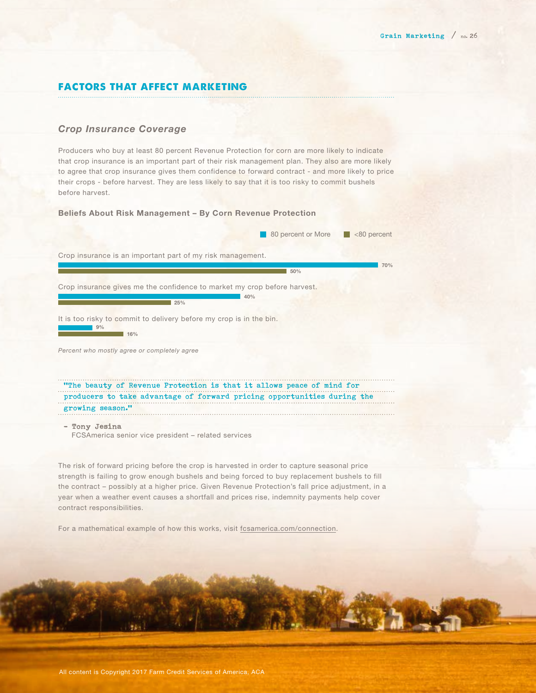# factors that affect marketing

## *Crop Insurance Coverage*

Producers who buy at least 80 percent Revenue Protection for corn are more likely to indicate that crop insurance is an important part of their risk management plan. They also are more likely to agree that crop insurance gives them confidence to forward contract - and more likely to price their crops - before harvest. They are less likely to say that it is too risky to commit bushels before harvest.

#### Beliefs About Risk Management – By Corn Revenue Protection

|                                                                                             | 80 percent or More | $< 80$ percent |
|---------------------------------------------------------------------------------------------|--------------------|----------------|
| Crop insurance is an important part of my risk management.                                  |                    |                |
|                                                                                             | 50%                | 70%            |
| Crop insurance gives me the confidence to market my crop before harvest.<br>40%<br>25%      |                    |                |
| It is too risky to commit to delivery before my crop is in the bin.<br>9%<br>16%            |                    |                |
| Percent who mostly agree or completely agree                                                |                    |                |
| "The beauty of Revenue Protection is that it allows peace of mind for                       |                    |                |
| producers to take advantage of forward pricing opportunities during the<br>growing season." |                    |                |
| - Tony Jesina                                                                               |                    |                |

FCSAmerica senior vice president – related services

The risk of forward pricing before the crop is harvested in order to capture seasonal price strength is failing to grow enough bushels and being forced to buy replacement bushels to fill the contract – possibly at a higher price. Given Revenue Protection's fall price adjustment, in a year when a weather event causes a shortfall and prices rise, indemnity payments help cover contract responsibilities.

For a mathematical example of how this works, visit [fcsamerica.com/connection](http://www.fcsamerica.com/connection).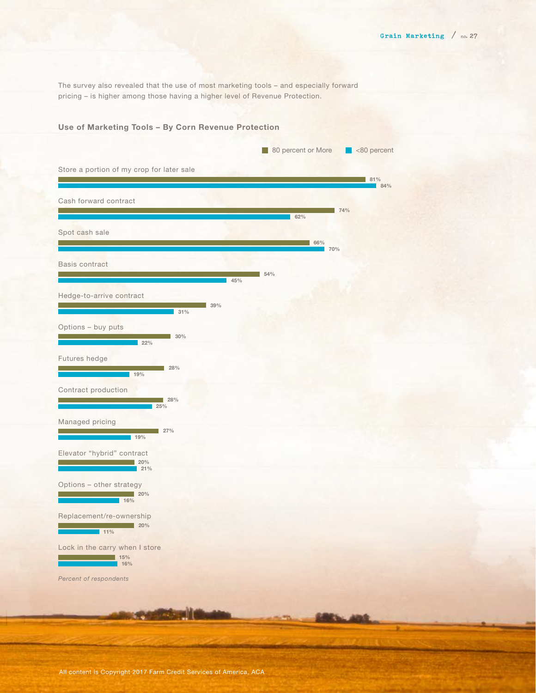The survey also revealed that the use of most marketing tools – and especially forward pricing – is higher among those having a higher level of Revenue Protection.

## Use of Marketing Tools – By Corn Revenue Protection

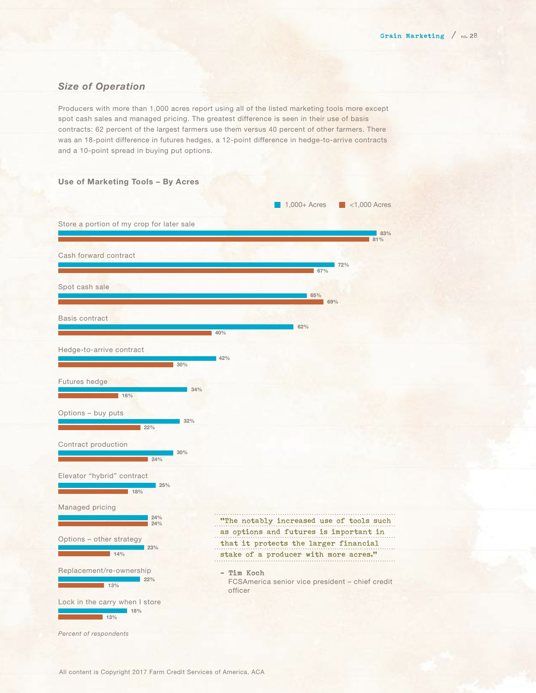## *Size of Operation*

Producers with more than 1,000 acres report using all of the listed marketing tools more except spot cash sales and managed pricing. The greatest difference is seen in their use of basis contracts: 62 percent of the largest farmers use them versus 40 percent of other farmers. There was an 18-point difference in futures hedges, a 12-point difference in hedge-to-arrive contracts and a 10-point spread in buying put options.

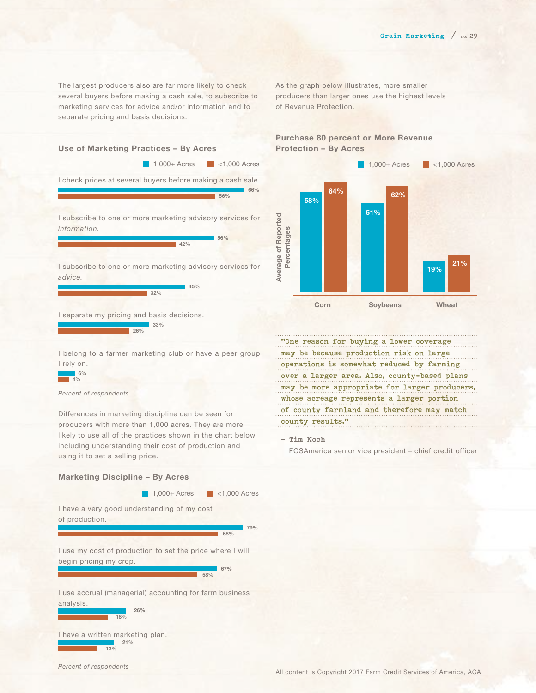The largest producers also are far more likely to check several buyers before making a cash sale, to subscribe to marketing services for advice and/or information and to separate pricing and basis decisions.

I check prices at several buyers before making a cash sale.

I subscribe to one or more marketing advisory services for

 $\frac{1}{42\%}$ 

45%

I subscribe to one or more marketing advisory services for

 $\frac{1}{32}\%$ 

Use of Marketing Practices – By Acres



## Purchase 80 percent or More Revenue Protection – By Acres



"One reason for buying a lower coverage may be because production risk on large operations is somewhat reduced by farming over a larger area. Also, county-based plans may be more appropriate for larger producers, whose acreage represents a larger portion of county farmland and therefore may match

FCSAmerica senior vice president – chief credit officer

county results."

– Tim Koch

I separate my pricing and basis decisions. 33% 26%

I belong to a farmer marketing club or have a peer group I rely on.

#### $6%$  $4%$

*information.*

*advice.* 

*Percent of respondents*

Differences in marketing discipline can be seen for producers with more than 1,000 acres. They are more likely to use all of the practices shown in the chart below, including understanding their cost of production and using it to set a selling price.

### Marketing Discipline – By Acres

1,000+ Acres 34,000 Acres

I have a very good understanding of my cost of production.

> 79% 68%

66%

56%

1,000+ Acres <1,000 Acres

56%

I use my cost of production to set the price where I will begin pricing my crop.

|     | 67% |
|-----|-----|
| 58% |     |
|     |     |

I use accrual (managerial) accounting for farm business analysis.

I have a written marketing plan. 26% 18% 21% 13%

*Percent of respondents*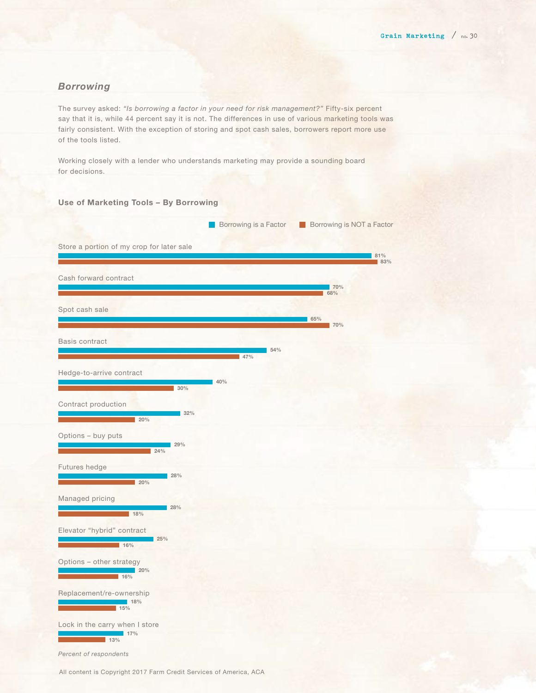## *Borrowing*

The survey asked: *"Is borrowing a factor in your need for risk management?"* Fifty-six percent say that it is, while 44 percent say it is not. The differences in use of various marketing tools was fairly consistent. With the exception of storing and spot cash sales, borrowers report more use of the tools listed.

Working closely with a lender who understands marketing may provide a sounding board for decisions.

#### Use of Marketing Tools – By Borrowing



All content is Copyright 2017 Farm Credit Services of America, ACA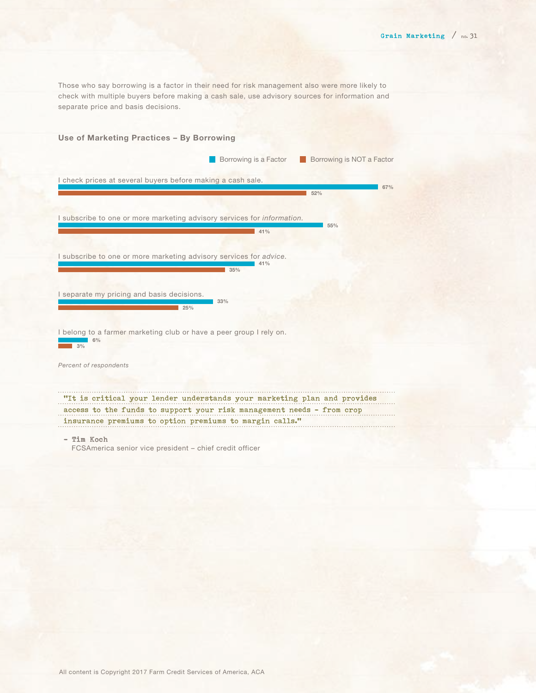Those who say borrowing is a factor in their need for risk management also were more likely to check with multiple buyers before making a cash sale, use advisory sources for information and separate price and basis decisions.

# Use of Marketing Practices – By Borrowing I check prices at several buyers before making a cash sale. I subscribe to one or more marketing advisory services for *information.* I subscribe to one or more marketing advisory services for *advice.*  I separate my pricing and basis decisions. I belong to a farmer marketing club or have a peer group I rely on. *Percent of respondents* 67%  $\frac{1}{1}$  52% 55%  $41%$  $141%$ 35%  $33%$  $25%$ 6%  $\overline{3\%}$ Borrowing is a Factor Borrowing is NOT a Factor "It is critical your lender understands your marketing plan and provides access to the funds to support your risk management needs – from crop insurance premiums to option premiums to margin calls." – Tim Koch FCSAmerica senior vice president – chief credit officer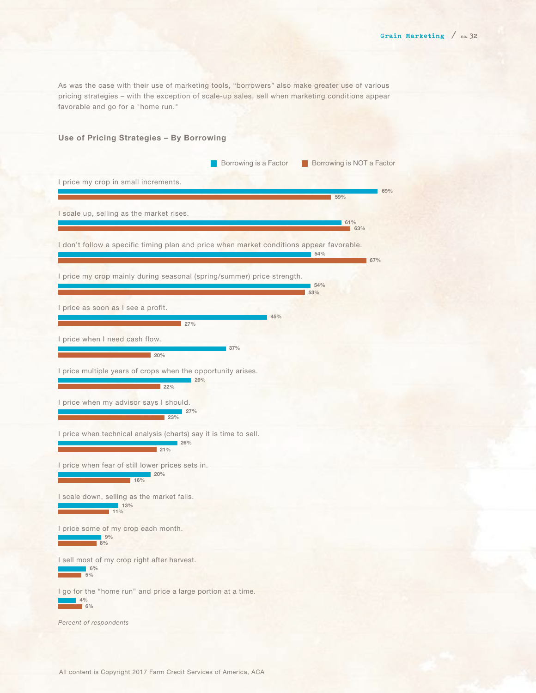As was the case with their use of marketing tools, "borrowers" also make greater use of various pricing strategies – with the exception of scale-up sales, sell when marketing conditions appear favorable and go for a "home run."

## Use of Pricing Strategies – By Borrowing

|                                                                                                                                                                                       | 59%                       | 69% |
|---------------------------------------------------------------------------------------------------------------------------------------------------------------------------------------|---------------------------|-----|
| I scale up, selling as the market rises.                                                                                                                                              | 61%<br>$\blacksquare$ 63% |     |
| I don't follow a specific timing plan and price when market conditions appear favorable.                                                                                              | $54\%$                    | 67% |
| I price my crop mainly during seasonal (spring/summer) price strength.                                                                                                                | 154%<br>53%               |     |
| I price as soon as I see a profit.<br>45%<br>27%                                                                                                                                      |                           |     |
| I price when I need cash flow.<br>37%<br>$20\%$                                                                                                                                       |                           |     |
| I price multiple years of crops when the opportunity arises.<br>29%<br>22%                                                                                                            |                           |     |
| I price when my advisor says I should.<br>27%<br>23%                                                                                                                                  |                           |     |
| I price when technical analysis (charts) say it is time to sell.<br>$\sim$ 26%<br>21%                                                                                                 |                           |     |
| I price when fear of still lower prices sets in.<br><u> 1999 - Andrea State Barbara, amerikan ing kabupatèn Ing Kabupatèn Ing Kabupatèn Ing Kabupatèn Ing Kabupatèn Ing Ka</u><br>16% |                           |     |
| I scale down, selling as the market falls.<br><mark>. простав на станители 13%</mark><br>Последници 11%                                                                               |                           |     |
| I price some of my crop each month.<br>9%<br>8%                                                                                                                                       |                           |     |
| I sell most of my crop right after harvest.<br>6%<br>5%                                                                                                                               |                           |     |
| I go for the "home run" and price a large portion at a time.<br>4%<br>6%                                                                                                              |                           |     |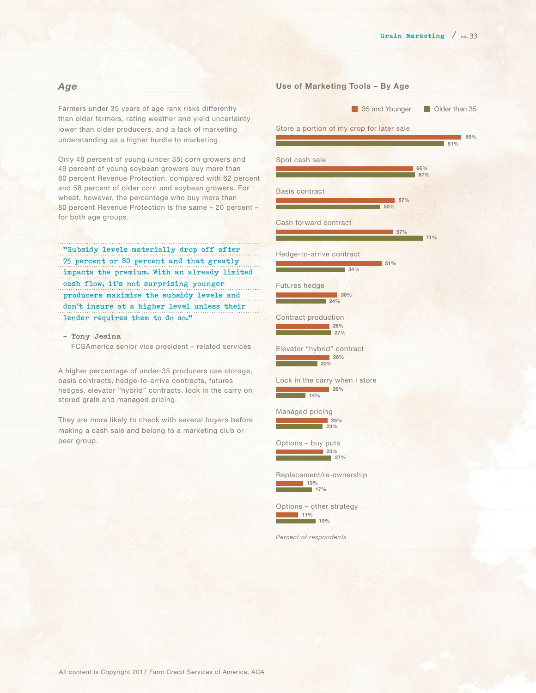### *Age*

Farmers under 35 years of age rank risks differently than older farmers, rating weather and yield uncertainty lower than older producers, and a lack of marketing understanding as a higher hurdle to marketing.

Only 48 percent of young (under 35) corn growers and 49 percent of young soybean growers buy more than 80 percent Revenue Protection, compared with 62 percent and 58 percent of older corn and soybean growers. For wheat, however, the percentage who buy more than 80 percent Revenue Protection is the same – 20 percent – for both age groups.

"Subsidy levels materially drop off after 75 percent or 80 percent and that greatly impacts the premium. With an already limited cash flow, it's not surprising younger producers maximize the subsidy levels and don't insure at a higher level unless their lender requires them to do so."

– Tony Jesina FCSAmerica senior vice president – related services

A higher percentage of under-35 producers use storage, basis contracts, hedge-to-arrive contracts, futures hedges, elevator "hybrid" contracts, lock in the carry on stored grain and managed pricing.

They are more likely to check with several buyers before making a cash sale and belong to a marketing club or peer group.

## Use of Marketing Tools – By Age

35 and Younger **Older than 35** 

## Store a portion of my crop for later sale Spot cash sale Basis contract Cash forward contract Hedge-to-arrive contract Futures hedge Contract production Elevator "hybrid" contract Lock in the carry when I store Managed pricing Options – buy puts Replacement/re-ownership Options – other strategy *Percent of respondents* 89% 81% 66% 67% 57%  $-50%$ 57% 71%  $151%$  $34%$  $130%$  $\sqrt{24\%}$ 26%  $27%$  $1.26%$  $200$  $126%$ 14%  $125%$  $\frac{1}{23\%}$  $23\%$  $27%$  $13%$ 17%  $11%$ 19%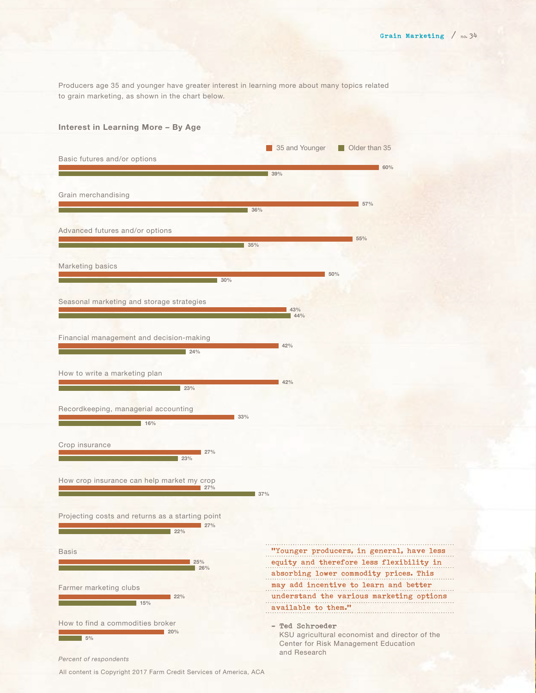Producers age 35 and younger have greater interest in learning more about many topics related to grain marketing, as shown in the chart below.

#### Interest in Learning More – By Age



All content is Copyright 2017 Farm Credit Services of America, ACA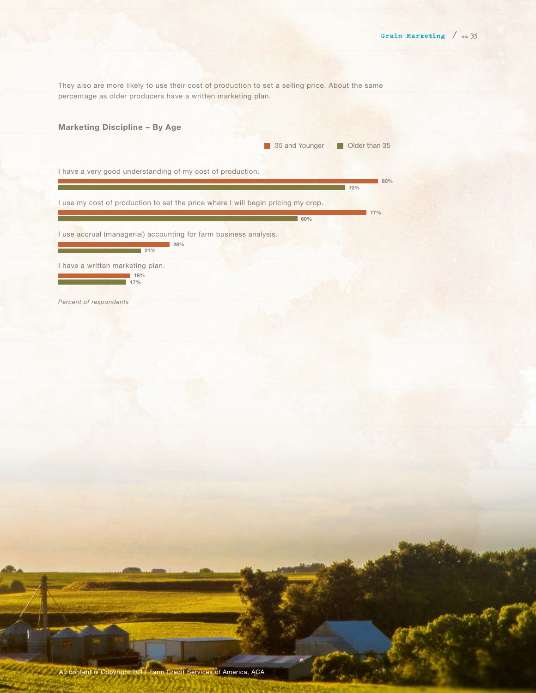They also are more likely to use their cost of production to set a selling price. About the same percentage as older producers have a written marketing plan.

|                                                                                  | 35 and Younger | Older than 35 |
|----------------------------------------------------------------------------------|----------------|---------------|
| I have a very good understanding of my cost of production.                       |                |               |
|                                                                                  |                | 80%<br>72%    |
| I use my cost of production to set the price where I will begin pricing my crop. |                |               |
|                                                                                  | 60%            | 77%           |
| I use accrual (managerial) accounting for farm business analysis.                |                |               |
| $\blacksquare$ 28%<br>$\blacksquare$ 21%                                         |                |               |
| I have a written marketing plan.                                                 |                |               |
| 18%<br>17%                                                                       |                |               |
| Percent of respondents                                                           |                |               |
|                                                                                  |                |               |
|                                                                                  |                |               |
|                                                                                  |                |               |
|                                                                                  |                |               |
|                                                                                  |                |               |
|                                                                                  |                |               |
|                                                                                  |                |               |
|                                                                                  |                |               |
|                                                                                  |                |               |
|                                                                                  |                |               |
|                                                                                  |                |               |
|                                                                                  |                |               |
|                                                                                  |                |               |
|                                                                                  |                |               |
|                                                                                  |                |               |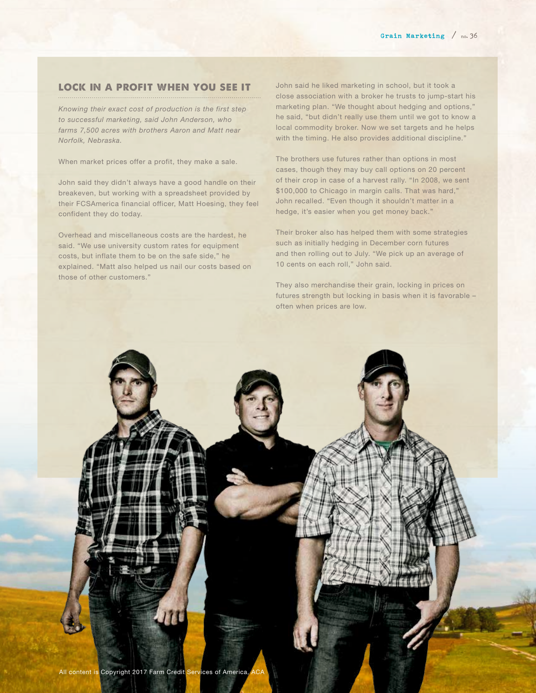#### lock in a profit when you see it

*Knowing their exact cost of production is the first step to successful marketing, said John Anderson, who farms 7,500 acres with brothers Aaron and Matt near Norfolk, Nebraska.*

When market prices offer a profit, they make a sale.

John said they didn't always have a good handle on their breakeven, but working with a spreadsheet provided by their FCSAmerica financial officer, Matt Hoesing, they feel confident they do today.

Overhead and miscellaneous costs are the hardest, he said. "We use university custom rates for equipment costs, but inflate them to be on the safe side," he explained. "Matt also helped us nail our costs based on those of other customers."

John said he liked marketing in school, but it took a close association with a broker he trusts to jump-start his marketing plan. "We thought about hedging and options," he said, "but didn't really use them until we got to know a local commodity broker. Now we set targets and he helps with the timing. He also provides additional discipline."

The brothers use futures rather than options in most cases, though they may buy call options on 20 percent of their crop in case of a harvest rally. "In 2008, we sent \$100,000 to Chicago in margin calls. That was hard," John recalled. "Even though it shouldn't matter in a hedge, it's easier when you get money back."

Their broker also has helped them with some strategies such as initially hedging in December corn futures and then rolling out to July. "We pick up an average of 10 cents on each roll," John said.

They also merchandise their grain, locking in prices on futures strength but locking in basis when it is favorable – often when prices are low.